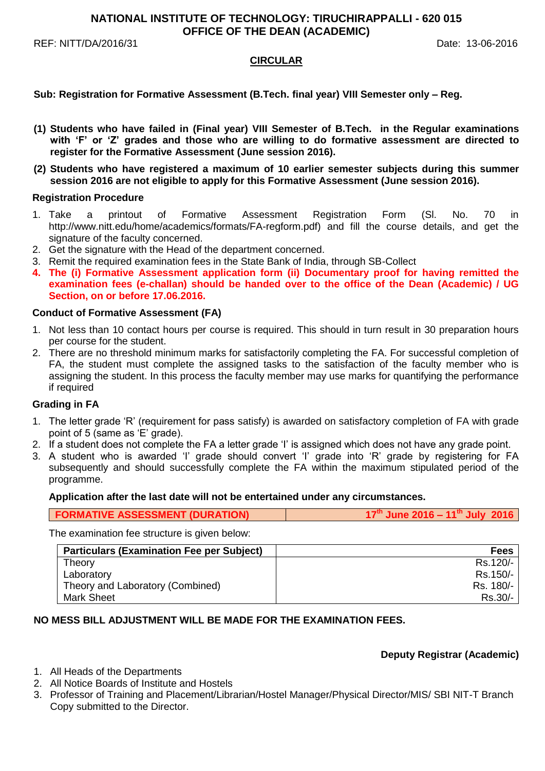## **NATIONAL INSTITUTE OF TECHNOLOGY: TIRUCHIRAPPALLI - 620 015 OFFICE OF THE DEAN (ACADEMIC)**

REF: NITT/DA/2016/31 Date: 13-06-2016

## **CIRCULAR**

## **Sub: Registration for Formative Assessment (B.Tech. final year) VIII Semester only – Reg.**

- **(1) Students who have failed in (Final year) VIII Semester of B.Tech. in the Regular examinations with 'F' or 'Z' grades and those who are willing to do formative assessment are directed to register for the Formative Assessment (June session 2016).**
- **(2) Students who have registered a maximum of 10 earlier semester subjects during this summer session 2016 are not eligible to apply for this Formative Assessment (June session 2016).**

#### **Registration Procedure**

- 1. Take a printout of Formative Assessment Registration Form (Sl. No. 70 in http://www.nitt.edu/home/academics/formats/FA-regform.pdf) and fill the course details, and get the signature of the faculty concerned.
- 2. Get the signature with the Head of the department concerned.
- 3. Remit the required examination fees in the State Bank of India, through SB-Collect
- **4. The (i) Formative Assessment application form (ii) Documentary proof for having remitted the examination fees (e-challan) should be handed over to the office of the Dean (Academic) / UG Section, on or before 17.06.2016.**

## **Conduct of Formative Assessment (FA)**

- 1. Not less than 10 contact hours per course is required. This should in turn result in 30 preparation hours per course for the student.
- 2. There are no threshold minimum marks for satisfactorily completing the FA. For successful completion of FA, the student must complete the assigned tasks to the satisfaction of the faculty member who is assigning the student. In this process the faculty member may use marks for quantifying the performance if required

## **Grading in FA**

- 1. The letter grade 'R' (requirement for pass satisfy) is awarded on satisfactory completion of FA with grade point of 5 (same as 'E' grade).
- 2. If a student does not complete the FA a letter grade 'I' is assigned which does not have any grade point.
- 3. A student who is awarded 'I' grade should convert 'I' grade into 'R' grade by registering for FA subsequently and should successfully complete the FA within the maximum stipulated period of the programme.

#### **Application after the last date will not be entertained under any circumstances.**

The examination fee structure is given below:

| <b>Particulars (Examination Fee per Subject)</b> | <b>Fees</b> |
|--------------------------------------------------|-------------|
| Theory                                           | Rs.120/-    |
| Laboratory                                       | Rs.150/-    |
| Theory and Laboratory (Combined)                 | Rs. 180/-   |
| Mark Sheet                                       | Rs.30/-     |

## **NO MESS BILL ADJUSTMENT WILL BE MADE FOR THE EXAMINATION FEES.**

## **Deputy Registrar (Academic)**

- 1. All Heads of the Departments
- 2. All Notice Boards of Institute and Hostels
- 3. Professor of Training and Placement/Librarian/Hostel Manager/Physical Director/MIS/ SBI NIT-T Branch Copy submitted to the Director.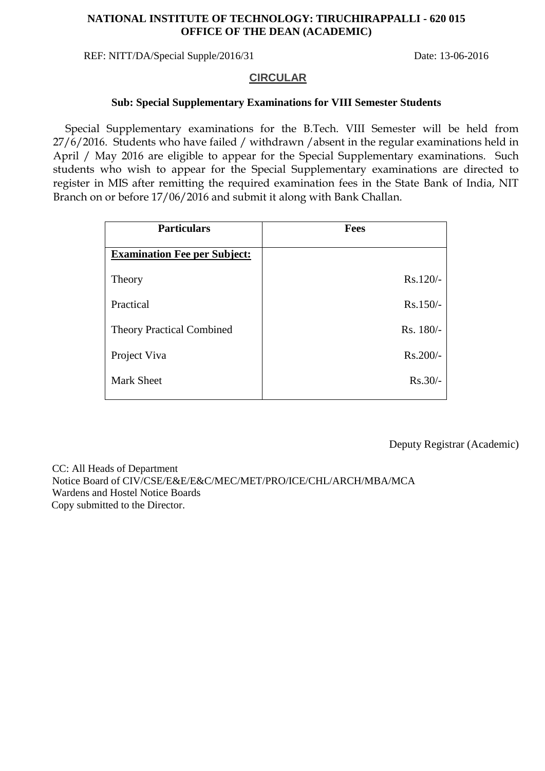# **NATIONAL INSTITUTE OF TECHNOLOGY: TIRUCHIRAPPALLI - 620 015 OFFICE OF THE DEAN (ACADEMIC)**

REF: NITT/DA/Special Supple/2016/31 Date: 13-06-2016

## **CIRCULAR**

## **Sub: Special Supplementary Examinations for VIII Semester Students**

Special Supplementary examinations for the B.Tech. VIII Semester will be held from 27/6/2016. Students who have failed / withdrawn /absent in the regular examinations held in April / May 2016 are eligible to appear for the Special Supplementary examinations. Such students who wish to appear for the Special Supplementary examinations are directed to register in MIS after remitting the required examination fees in the State Bank of India, NIT Branch on or before 17/06/2016 and submit it along with Bank Challan.

| <b>Particulars</b>                  | <b>Fees</b> |
|-------------------------------------|-------------|
| <b>Examination Fee per Subject:</b> |             |
| Theory                              | $Rs.120/-$  |
| Practical                           | $Rs.150/-$  |
| <b>Theory Practical Combined</b>    | Rs. 180/-   |
| Project Viva                        | $Rs.200/-$  |
| <b>Mark Sheet</b>                   | $Rs.30/-$   |

Deputy Registrar (Academic)

 CC: All Heads of Department Notice Board of CIV/CSE/E&E/E&C/MEC/MET/PRO/ICE/CHL/ARCH/MBA/MCA Wardens and Hostel Notice Boards Copy submitted to the Director.